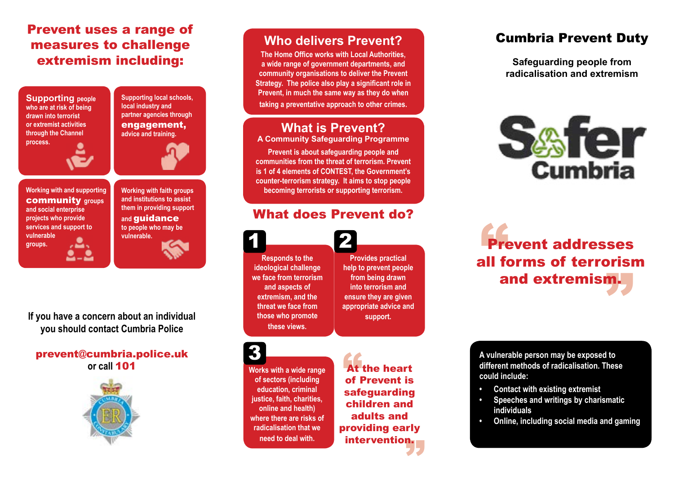# Prevent uses a range of measures to challenge extremism including:



**local industry and partner agencies through**  engagement, **advice and training.**

**Supporting local schools,** 



**Working with and supporting**  community **groups and social enterprise projects who provide services and support to vulnerable groups.**



**If you have a concern about an individual you should contact Cumbria Police**

#### prevent@cumbria.police.uk **or call** 101



**Who delivers Prevent?**

**The Home Office works with Local Authorities, a wide range of government departments, and community organisations to deliver the Prevent Strategy. The police also play a significant role in Prevent, in much the same way as they do when taking a preventative approach to other crimes.**

#### **What is Prevent?**

**A Community Safeguarding Programme**

**Prevent is about safeguarding people and communities from the threat of terrorism. Prevent is 1 of 4 elements of CONTEST, the Government's counter-terrorism strategy. It aims to stop people becoming terrorists or supporting terrorism.**

### What does Prevent do?

**Responds to the ideological challenge we face from terrorism and aspects of extremism, and the threat we face from those who promote these views.** 1 2

**Provides practical help to prevent people from being drawn into terrorism and ensure they are given appropriate advice and support.**

**Works with a wide range of sectors (including education, criminal justice, faith, charities, online and health) where there are risks of radicalisation that we need to deal with.** 3

At<br>of I providing early<br>intervention At the heart of Prevent is safeguarding children and adults and intervention.

# Cumbria Prevent Duty

**Safeguarding people from radicalisation and extremism** 



all forms of terrorism<br>and extremism. Pre Prevent addresses and extremism.

**A vulnerable person may be exposed to different methods of radicalisation. These could include:**

- **• Contact with existing extremist**
- **• Speeches and writings by charismatic individuals**
- **• Online, including social media and gaming**